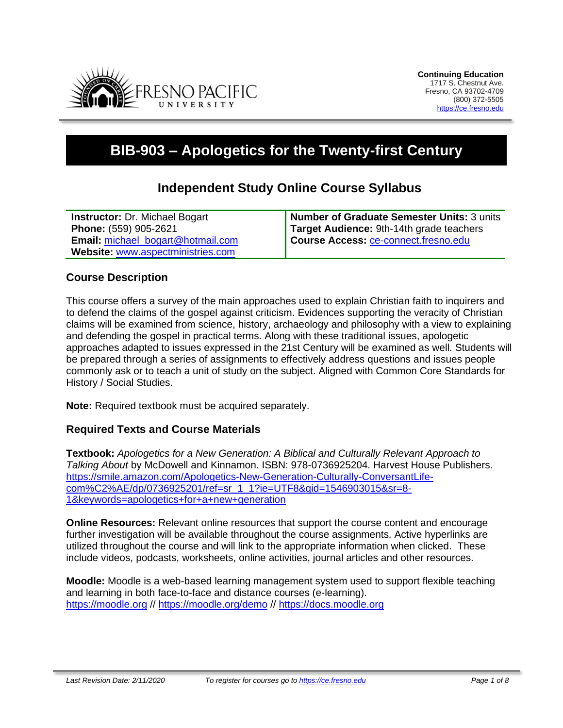

# **BIB-903 – Apologetics for the Twenty-first Century**

# **Independent Study Online Course Syllabus**

| <b>Instructor: Dr. Michael Bogart</b>    | Number of Graduate Semester Units: 3 units |
|------------------------------------------|--------------------------------------------|
| Phone: (559) 905-2621                    | Target Audience: 9th-14th grade teachers   |
| <b>Email:</b> michael_bogart@hotmail.com | Course Access: ce-connect.fresno.edu       |
| Website: www.aspectministries.com        |                                            |

#### **Course Description**

This course offers a survey of the main approaches used to explain Christian faith to inquirers and to defend the claims of the gospel against criticism. Evidences supporting the veracity of Christian claims will be examined from science, history, archaeology and philosophy with a view to explaining and defending the gospel in practical terms. Along with these traditional issues, apologetic approaches adapted to issues expressed in the 21st Century will be examined as well. Students will be prepared through a series of assignments to effectively address questions and issues people commonly ask or to teach a unit of study on the subject. Aligned with Common Core Standards for History / Social Studies.

**Note:** Required textbook must be acquired separately.

# **Required Texts and Course Materials**

**Textbook:** *Apologetics for a New Generation: A Biblical and Culturally Relevant Approach to Talking About* by McDowell and Kinnamon. ISBN: 978-0736925204. Harvest House Publishers. [https://smile.amazon.com/Apologetics-New-Generation-Culturally-ConversantLife](https://smile.amazon.com/Apologetics-New-Generation-Culturally-ConversantLife-com%C2%AE/dp/0736925201/ref=sr_1_1?ie=UTF8&qid=1546903015&sr=8-1&keywords=apologetics+for+a+new+generation)[com%C2%AE/dp/0736925201/ref=sr\\_1\\_1?ie=UTF8&qid=1546903015&sr=8-](https://smile.amazon.com/Apologetics-New-Generation-Culturally-ConversantLife-com%C2%AE/dp/0736925201/ref=sr_1_1?ie=UTF8&qid=1546903015&sr=8-1&keywords=apologetics+for+a+new+generation) [1&keywords=apologetics+for+a+new+generation](https://smile.amazon.com/Apologetics-New-Generation-Culturally-ConversantLife-com%C2%AE/dp/0736925201/ref=sr_1_1?ie=UTF8&qid=1546903015&sr=8-1&keywords=apologetics+for+a+new+generation)

**Online Resources:** Relevant online resources that support the course content and encourage further investigation will be available throughout the course assignments. Active hyperlinks are utilized throughout the course and will link to the appropriate information when clicked. These include videos, podcasts, worksheets, online activities, journal articles and other resources.

**Moodle:** Moodle is a web-based learning management system used to support flexible teaching and learning in both face-to-face and distance courses (e-learning). [https://moodle.org](https://moodle.org/) // <https://moodle.org/demo> // [https://docs.moodle.org](https://docs.moodle.org/)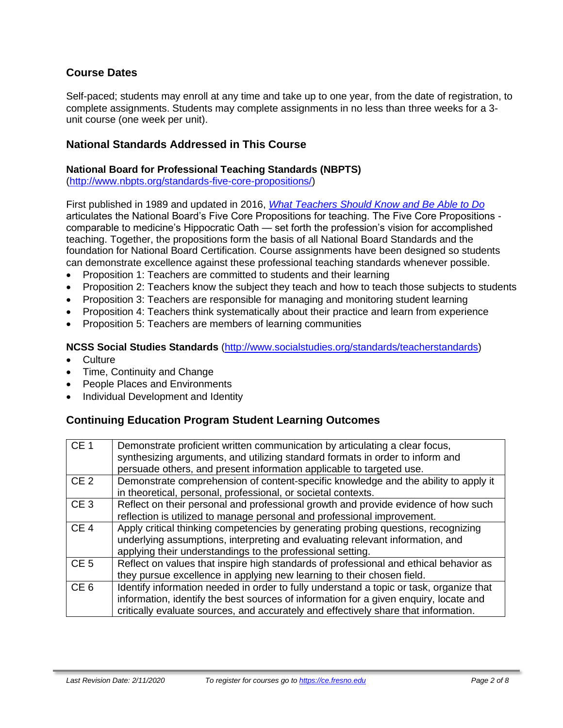# **Course Dates**

Self-paced; students may enroll at any time and take up to one year, from the date of registration, to complete assignments. Students may complete assignments in no less than three weeks for a 3 unit course (one week per unit).

## **National Standards Addressed in This Course**

#### **National Board for Professional Teaching Standards (NBPTS)**

[\(http://www.nbpts.org/standards-five-core-propositions/\)](http://www.nbpts.org/standards-five-core-propositions/)

First published in 1989 and updated in 2016, *[What Teachers Should Know and Be Able to Do](http://www.accomplishedteacher.org/)* articulates the National Board's Five Core Propositions for teaching. The Five Core Propositions comparable to medicine's Hippocratic Oath — set forth the profession's vision for accomplished teaching. Together, the propositions form the basis of all National Board Standards and the foundation for National Board Certification. Course assignments have been designed so students can demonstrate excellence against these professional teaching standards whenever possible.

- Proposition 1: Teachers are committed to students and their learning
- Proposition 2: Teachers know the subject they teach and how to teach those subjects to students
- Proposition 3: Teachers are responsible for managing and monitoring student learning
- Proposition 4: Teachers think systematically about their practice and learn from experience
- Proposition 5: Teachers are members of learning communities

#### **NCSS Social Studies Standards** [\(http://www.socialstudies.org/standards/teacherstandards\)](http://www.socialstudies.org/standards/teacherstandards)

- Culture
- Time, Continuity and Change
- People Places and Environments
- Individual Development and Identity

# **Continuing Education Program Student Learning Outcomes**

| CE <sub>1</sub> | Demonstrate proficient written communication by articulating a clear focus,<br>synthesizing arguments, and utilizing standard formats in order to inform and<br>persuade others, and present information applicable to targeted use.                                    |
|-----------------|-------------------------------------------------------------------------------------------------------------------------------------------------------------------------------------------------------------------------------------------------------------------------|
| CE <sub>2</sub> | Demonstrate comprehension of content-specific knowledge and the ability to apply it<br>in theoretical, personal, professional, or societal contexts.                                                                                                                    |
| CE <sub>3</sub> | Reflect on their personal and professional growth and provide evidence of how such<br>reflection is utilized to manage personal and professional improvement.                                                                                                           |
| CE <sub>4</sub> | Apply critical thinking competencies by generating probing questions, recognizing<br>underlying assumptions, interpreting and evaluating relevant information, and<br>applying their understandings to the professional setting.                                        |
| CE <sub>5</sub> | Reflect on values that inspire high standards of professional and ethical behavior as<br>they pursue excellence in applying new learning to their chosen field.                                                                                                         |
| CE <sub>6</sub> | Identify information needed in order to fully understand a topic or task, organize that<br>information, identify the best sources of information for a given enquiry, locate and<br>critically evaluate sources, and accurately and effectively share that information. |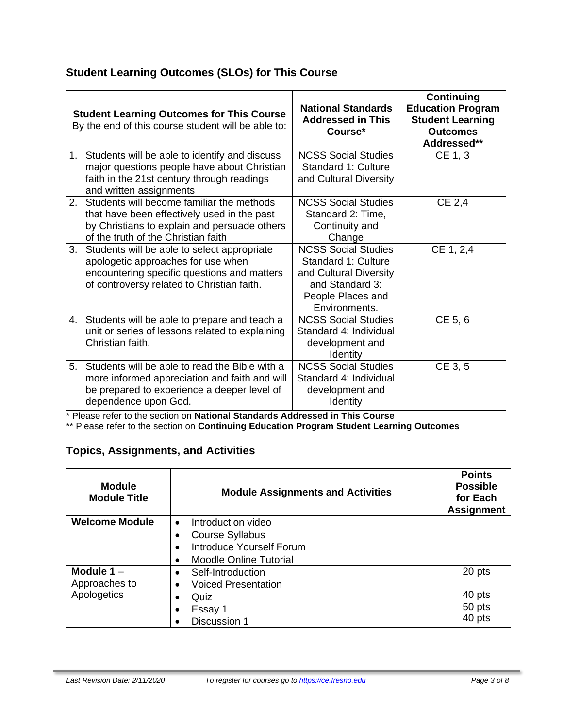# **Student Learning Outcomes (SLOs) for This Course**

|    | <b>Student Learning Outcomes for This Course</b><br>By the end of this course student will be able to:                                                                          | <b>National Standards</b><br><b>Addressed in This</b><br>Course*                                                                     | <b>Continuing</b><br><b>Education Program</b><br><b>Student Learning</b><br><b>Outcomes</b><br>Addressed** |
|----|---------------------------------------------------------------------------------------------------------------------------------------------------------------------------------|--------------------------------------------------------------------------------------------------------------------------------------|------------------------------------------------------------------------------------------------------------|
| 1. | Students will be able to identify and discuss<br>major questions people have about Christian<br>faith in the 21st century through readings<br>and written assignments           | <b>NCSS Social Studies</b><br>Standard 1: Culture<br>and Cultural Diversity                                                          | CE 1, 3                                                                                                    |
| 2. | Students will become familiar the methods<br>that have been effectively used in the past<br>by Christians to explain and persuade others<br>of the truth of the Christian faith | <b>NCSS Social Studies</b><br>Standard 2: Time,<br>Continuity and<br>Change                                                          | CE 2,4                                                                                                     |
| 3. | Students will be able to select appropriate<br>apologetic approaches for use when<br>encountering specific questions and matters<br>of controversy related to Christian faith.  | <b>NCSS Social Studies</b><br>Standard 1: Culture<br>and Cultural Diversity<br>and Standard 3:<br>People Places and<br>Environments. | CE 1, 2,4                                                                                                  |
|    | 4. Students will be able to prepare and teach a<br>unit or series of lessons related to explaining<br>Christian faith.                                                          | <b>NCSS Social Studies</b><br>Standard 4: Individual<br>development and<br>Identity                                                  | CE 5, 6                                                                                                    |
| 5. | Students will be able to read the Bible with a<br>more informed appreciation and faith and will<br>be prepared to experience a deeper level of<br>dependence upon God.          | <b>NCSS Social Studies</b><br>Standard 4: Individual<br>development and<br>Identity                                                  | CE 3, 5                                                                                                    |

\* Please refer to the section on **National Standards Addressed in This Course**

\*\* Please refer to the section on **Continuing Education Program Student Learning Outcomes**

# **Topics, Assignments, and Activities**

| <b>Module</b><br><b>Module Title</b> | <b>Module Assignments and Activities</b> | <b>Points</b><br><b>Possible</b><br>for Each<br><b>Assignment</b> |
|--------------------------------------|------------------------------------------|-------------------------------------------------------------------|
| <b>Welcome Module</b>                | Introduction video<br>$\bullet$          |                                                                   |
|                                      | <b>Course Syllabus</b>                   |                                                                   |
|                                      | <b>Introduce Yourself Forum</b>          |                                                                   |
|                                      | <b>Moodle Online Tutorial</b>            |                                                                   |
| Module $1 -$                         | Self-Introduction<br>$\bullet$           | 20 pts                                                            |
| Approaches to                        | <b>Voiced Presentation</b>               |                                                                   |
| Apologetics                          | Quiz                                     | 40 pts                                                            |
|                                      | Essay 1                                  | 50 pts                                                            |
|                                      | Discussion 1                             | 40 pts                                                            |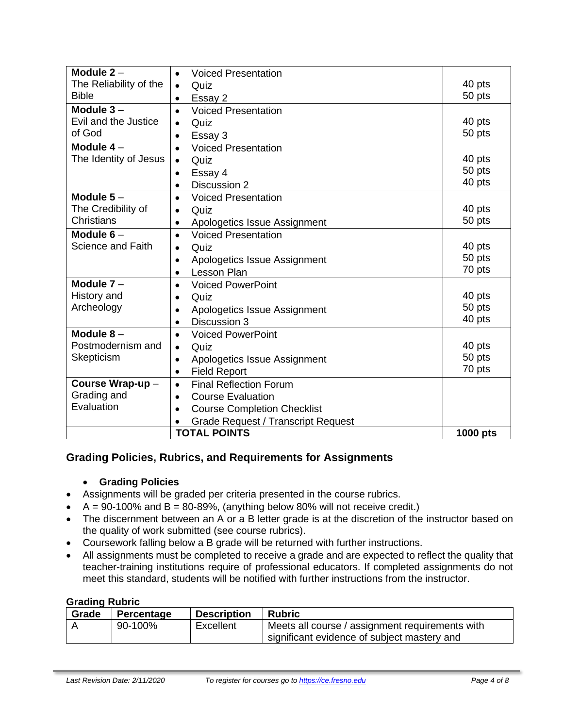| Module $2 -$                                           | <b>Voiced Presentation</b><br>$\bullet$         |          |
|--------------------------------------------------------|-------------------------------------------------|----------|
| The Reliability of the                                 | Quiz<br>$\bullet$                               | 40 pts   |
| <b>Bible</b>                                           | Essay 2<br>$\bullet$                            | 50 pts   |
| Module $3 -$                                           | <b>Voiced Presentation</b><br>$\bullet$         |          |
| Evil and the Justice                                   | Quiz<br>$\bullet$                               | 40 pts   |
| of God                                                 | Essay 3<br>$\bullet$                            | 50 pts   |
| Module $4-$                                            | <b>Voiced Presentation</b><br>$\bullet$         |          |
| The Identity of Jesus                                  | Quiz                                            | 40 pts   |
|                                                        | Essay 4<br>$\bullet$                            | 50 pts   |
|                                                        | Discussion 2<br>$\bullet$                       | 40 pts   |
| Module $5-$                                            | <b>Voiced Presentation</b><br>$\bullet$         |          |
| The Credibility of                                     | Quiz<br>$\bullet$                               | 40 pts   |
| <b>Christians</b>                                      | Apologetics Issue Assignment<br>٠               | 50 pts   |
| Module $6-$<br><b>Voiced Presentation</b><br>$\bullet$ |                                                 |          |
| Science and Faith                                      | Quiz<br>$\bullet$                               | 40 pts   |
|                                                        | Apologetics Issue Assignment<br>$\bullet$       | 50 pts   |
|                                                        | <b>Lesson Plan</b><br>$\bullet$                 | 70 pts   |
| Module $7-$                                            | <b>Voiced PowerPoint</b><br>$\bullet$           |          |
| History and                                            | Quiz<br>$\bullet$                               | 40 pts   |
| Archeology                                             | Apologetics Issue Assignment                    | 50 pts   |
|                                                        | Discussion 3<br>$\bullet$                       | 40 pts   |
| Module $8-$                                            | <b>Voiced PowerPoint</b><br>$\bullet$           |          |
| Postmodernism and                                      | Quiz<br>$\bullet$                               | 40 pts   |
| Skepticism                                             | Apologetics Issue Assignment<br>$\bullet$       | 50 pts   |
|                                                        | <b>Field Report</b><br>$\bullet$                | 70 pts   |
| Course Wrap-up-                                        | <b>Final Reflection Forum</b><br>$\bullet$      |          |
| Grading and<br><b>Course Evaluation</b><br>$\bullet$   |                                                 |          |
| Evaluation                                             | <b>Course Completion Checklist</b><br>$\bullet$ |          |
|                                                        | <b>Grade Request / Transcript Request</b>       |          |
|                                                        | <b>TOTAL POINTS</b>                             | 1000 pts |

# **Grading Policies, Rubrics, and Requirements for Assignments**

#### • **Grading Policies**

- Assignments will be graded per criteria presented in the course rubrics.
- $A = 90-100\%$  and  $B = 80-89\%$ , (anything below 80% will not receive credit.)
- The discernment between an A or a B letter grade is at the discretion of the instructor based on the quality of work submitted (see course rubrics).
- Coursework falling below a B grade will be returned with further instructions.
- All assignments must be completed to receive a grade and are expected to reflect the quality that teacher-training institutions require of professional educators. If completed assignments do not meet this standard, students will be notified with further instructions from the instructor.

## **Grading Rubric**

| Grade | Percentage | <b>Description</b> | <b>Rubric</b>                                   |
|-------|------------|--------------------|-------------------------------------------------|
|       | 90-100%    | Excellent          | Meets all course / assignment requirements with |
|       |            |                    | significant evidence of subject mastery and     |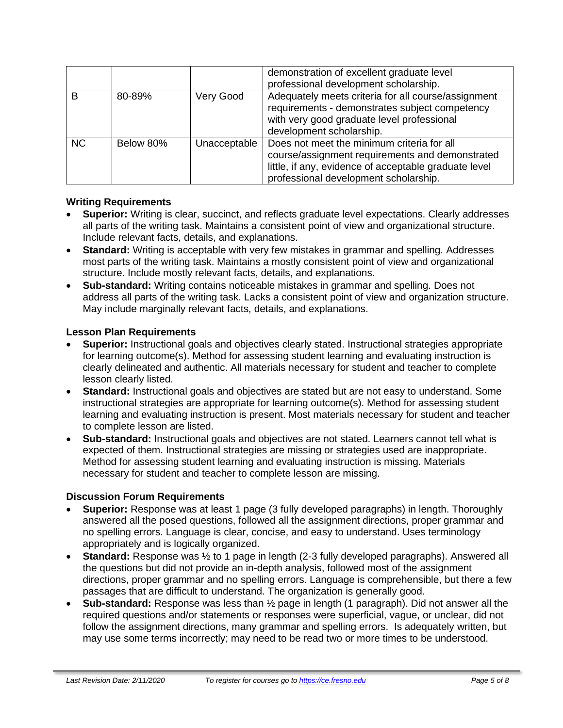|           |           |              | demonstration of excellent graduate level<br>professional development scholarship.                                                                                                              |
|-----------|-----------|--------------|-------------------------------------------------------------------------------------------------------------------------------------------------------------------------------------------------|
| B         | 80-89%    | Very Good    | Adequately meets criteria for all course/assignment<br>requirements - demonstrates subject competency<br>with very good graduate level professional<br>development scholarship.                 |
| <b>NC</b> | Below 80% | Unacceptable | Does not meet the minimum criteria for all<br>course/assignment requirements and demonstrated<br>little, if any, evidence of acceptable graduate level<br>professional development scholarship. |

#### **Writing Requirements**

- **Superior:** Writing is clear, succinct, and reflects graduate level expectations. Clearly addresses all parts of the writing task. Maintains a consistent point of view and organizational structure. Include relevant facts, details, and explanations.
- **Standard:** Writing is acceptable with very few mistakes in grammar and spelling. Addresses most parts of the writing task. Maintains a mostly consistent point of view and organizational structure. Include mostly relevant facts, details, and explanations.
- **Sub-standard:** Writing contains noticeable mistakes in grammar and spelling. Does not address all parts of the writing task. Lacks a consistent point of view and organization structure. May include marginally relevant facts, details, and explanations.

#### **Lesson Plan Requirements**

- **Superior:** Instructional goals and objectives clearly stated. Instructional strategies appropriate for learning outcome(s). Method for assessing student learning and evaluating instruction is clearly delineated and authentic. All materials necessary for student and teacher to complete lesson clearly listed.
- **Standard:** Instructional goals and objectives are stated but are not easy to understand. Some instructional strategies are appropriate for learning outcome(s). Method for assessing student learning and evaluating instruction is present. Most materials necessary for student and teacher to complete lesson are listed.
- **Sub-standard:** Instructional goals and objectives are not stated. Learners cannot tell what is expected of them. Instructional strategies are missing or strategies used are inappropriate. Method for assessing student learning and evaluating instruction is missing. Materials necessary for student and teacher to complete lesson are missing.

#### **Discussion Forum Requirements**

- **Superior:** Response was at least 1 page (3 fully developed paragraphs) in length. Thoroughly answered all the posed questions, followed all the assignment directions, proper grammar and no spelling errors. Language is clear, concise, and easy to understand. Uses terminology appropriately and is logically organized.
- **Standard:** Response was ½ to 1 page in length (2-3 fully developed paragraphs). Answered all the questions but did not provide an in-depth analysis, followed most of the assignment directions, proper grammar and no spelling errors. Language is comprehensible, but there a few passages that are difficult to understand. The organization is generally good.
- **Sub-standard:** Response was less than ½ page in length (1 paragraph). Did not answer all the required questions and/or statements or responses were superficial, vague, or unclear, did not follow the assignment directions, many grammar and spelling errors. Is adequately written, but may use some terms incorrectly; may need to be read two or more times to be understood.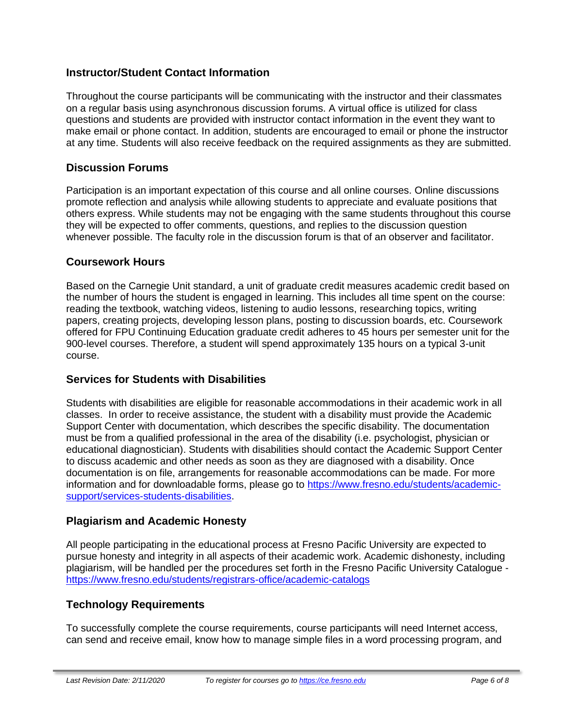# **Instructor/Student Contact Information**

Throughout the course participants will be communicating with the instructor and their classmates on a regular basis using asynchronous discussion forums. A virtual office is utilized for class questions and students are provided with instructor contact information in the event they want to make email or phone contact. In addition, students are encouraged to email or phone the instructor at any time. Students will also receive feedback on the required assignments as they are submitted.

## **Discussion Forums**

Participation is an important expectation of this course and all online courses. Online discussions promote reflection and analysis while allowing students to appreciate and evaluate positions that others express. While students may not be engaging with the same students throughout this course they will be expected to offer comments, questions, and replies to the discussion question whenever possible. The faculty role in the discussion forum is that of an observer and facilitator.

#### **Coursework Hours**

Based on the Carnegie Unit standard, a unit of graduate credit measures academic credit based on the number of hours the student is engaged in learning. This includes all time spent on the course: reading the textbook, watching videos, listening to audio lessons, researching topics, writing papers, creating projects, developing lesson plans, posting to discussion boards, etc. Coursework offered for FPU Continuing Education graduate credit adheres to 45 hours per semester unit for the 900-level courses. Therefore, a student will spend approximately 135 hours on a typical 3-unit course.

# **Services for Students with Disabilities**

Students with disabilities are eligible for reasonable accommodations in their academic work in all classes. In order to receive assistance, the student with a disability must provide the Academic Support Center with documentation, which describes the specific disability. The documentation must be from a qualified professional in the area of the disability (i.e. psychologist, physician or educational diagnostician). Students with disabilities should contact the Academic Support Center to discuss academic and other needs as soon as they are diagnosed with a disability. Once documentation is on file, arrangements for reasonable accommodations can be made. For more information and for downloadable forms, please go to [https://www.fresno.edu/students/academic](https://www.fresno.edu/students/academic-support/services-students-disabilities)[support/services-students-disabilities.](https://www.fresno.edu/students/academic-support/services-students-disabilities)

# **Plagiarism and Academic Honesty**

All people participating in the educational process at Fresno Pacific University are expected to pursue honesty and integrity in all aspects of their academic work. Academic dishonesty, including plagiarism, will be handled per the procedures set forth in the Fresno Pacific University Catalogue <https://www.fresno.edu/students/registrars-office/academic-catalogs>

# **Technology Requirements**

To successfully complete the course requirements, course participants will need Internet access, can send and receive email, know how to manage simple files in a word processing program, and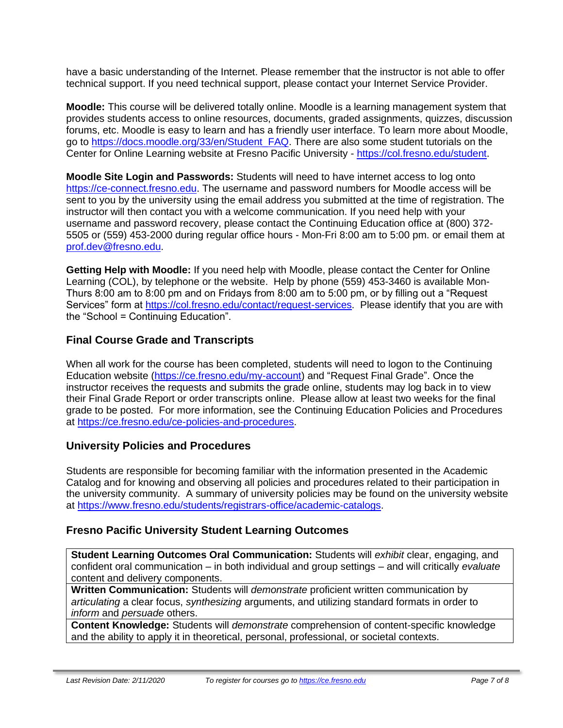have a basic understanding of the Internet. Please remember that the instructor is not able to offer technical support. If you need technical support, please contact your Internet Service Provider.

**Moodle:** This course will be delivered totally online. Moodle is a learning management system that provides students access to online resources, documents, graded assignments, quizzes, discussion forums, etc. Moodle is easy to learn and has a friendly user interface. To learn more about Moodle, go to [https://docs.moodle.org/33/en/Student\\_FAQ.](https://docs.moodle.org/33/en/Student_FAQ) There are also some student tutorials on the Center for Online Learning website at Fresno Pacific University - [https://col.fresno.edu/student.](https://col.fresno.edu/student)

**Moodle Site Login and Passwords:** Students will need to have internet access to log onto [https://ce-connect.fresno.edu.](https://ce-connect.fresno.edu/) The username and password numbers for Moodle access will be sent to you by the university using the email address you submitted at the time of registration. The instructor will then contact you with a welcome communication. If you need help with your username and password recovery, please contact the Continuing Education office at (800) 372- 5505 or (559) 453-2000 during regular office hours - Mon-Fri 8:00 am to 5:00 pm. or email them at [prof.dev@fresno.edu.](mailto:prof.dev@fresno.edu)

**Getting Help with Moodle:** If you need help with Moodle, please contact the Center for Online Learning (COL), by telephone or the website. Help by phone (559) 453-3460 is available Mon-Thurs 8:00 am to 8:00 pm and on Fridays from 8:00 am to 5:00 pm, or by filling out a "Request Services" form at [https://col.fresno.edu/contact/request-services.](https://col.fresno.edu/contact/request-services) Please identify that you are with the "School = Continuing Education".

# **Final Course Grade and Transcripts**

When all work for the course has been completed, students will need to logon to the Continuing Education website [\(https://ce.fresno.edu/my-account\)](https://ce.fresno.edu/my-account) and "Request Final Grade". Once the instructor receives the requests and submits the grade online, students may log back in to view their Final Grade Report or order transcripts online. Please allow at least two weeks for the final grade to be posted. For more information, see the Continuing Education Policies and Procedures at [https://ce.fresno.edu/ce-policies-and-procedures.](https://ce.fresno.edu/ce-policies-and-procedures)

# **University Policies and Procedures**

Students are responsible for becoming familiar with the information presented in the Academic Catalog and for knowing and observing all policies and procedures related to their participation in the university community. A summary of university policies may be found on the university website at [https://www.fresno.edu/students/registrars-office/academic-catalogs.](https://www.fresno.edu/students/registrars-office/academic-catalogs)

# **Fresno Pacific University Student Learning Outcomes**

**Student Learning Outcomes Oral Communication:** Students will *exhibit* clear, engaging, and confident oral communication – in both individual and group settings – and will critically *evaluate*  content and delivery components.

**Written Communication:** Students will *demonstrate* proficient written communication by *articulating* a clear focus, *synthesizing* arguments, and utilizing standard formats in order to *inform* and *persuade* others.

**Content Knowledge:** Students will *demonstrate* comprehension of content-specific knowledge and the ability to apply it in theoretical, personal, professional, or societal contexts.